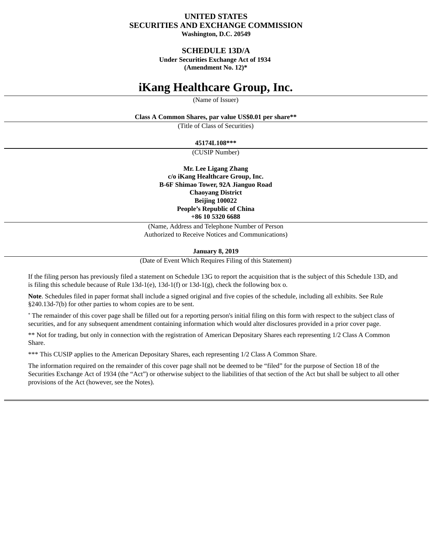## **UNITED STATES SECURITIES AND EXCHANGE COMMISSION Washington, D.C. 20549**

## **SCHEDULE 13D/A**

**Under Securities Exchange Act of 1934**

**(Amendment No. 12)\***

# **iKang Healthcare Group, Inc.**

(Name of Issuer)

**Class A Common Shares, par value US\$0.01 per share\*\***

(Title of Class of Securities)

**45174L108\*\*\***

(CUSIP Number)

**Mr. Lee Ligang Zhang c/o iKang Healthcare Group, Inc. B-6F Shimao Tower, 92A Jianguo Road Chaoyang District Beijing 100022 People's Republic of China +86 10 5320 6688**

(Name, Address and Telephone Number of Person Authorized to Receive Notices and Communications)

**January 8, 2019**

(Date of Event Which Requires Filing of this Statement)

If the filing person has previously filed a statement on Schedule 13G to report the acquisition that is the subject of this Schedule 13D, and is filing this schedule because of Rule  $13d-1(e)$ ,  $13d-1(f)$  or  $13d-1(g)$ , check the following box o.

**Note**. Schedules filed in paper format shall include a signed original and five copies of the schedule, including all exhibits. See Rule §240.13d-7(b) for other parties to whom copies are to be sent.

\* The remainder of this cover page shall be filled out for a reporting person's initial filing on this form with respect to the subject class of securities, and for any subsequent amendment containing information which would alter disclosures provided in a prior cover page.

\*\* Not for trading, but only in connection with the registration of American Depositary Shares each representing 1/2 Class A Common Share.

\*\*\* This CUSIP applies to the American Depositary Shares, each representing 1/2 Class A Common Share.

The information required on the remainder of this cover page shall not be deemed to be "filed" for the purpose of Section 18 of the Securities Exchange Act of 1934 (the "Act") or otherwise subject to the liabilities of that section of the Act but shall be subject to all other provisions of the Act (however, see the Notes).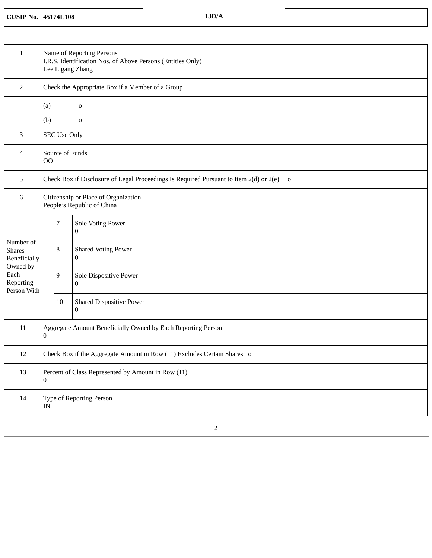## **CUSIP No. 45174L108 13D/A**

| $\mathbf{1}$                                                                               | Name of Reporting Persons<br>I.R.S. Identification Nos. of Above Persons (Entities Only)<br>Lee Ligang Zhang |                     |                                                                                          |  |  |
|--------------------------------------------------------------------------------------------|--------------------------------------------------------------------------------------------------------------|---------------------|------------------------------------------------------------------------------------------|--|--|
| 2                                                                                          |                                                                                                              |                     | Check the Appropriate Box if a Member of a Group                                         |  |  |
|                                                                                            | (a)<br>o                                                                                                     |                     |                                                                                          |  |  |
| 3                                                                                          | (b)                                                                                                          | <b>SEC Use Only</b> | o                                                                                        |  |  |
| 4                                                                                          | Source of Funds<br>00                                                                                        |                     |                                                                                          |  |  |
| 5                                                                                          |                                                                                                              |                     | Check Box if Disclosure of Legal Proceedings Is Required Pursuant to Item 2(d) or 2(e) o |  |  |
| 6                                                                                          | Citizenship or Place of Organization<br>People's Republic of China                                           |                     |                                                                                          |  |  |
|                                                                                            |                                                                                                              | 7                   | Sole Voting Power<br>0                                                                   |  |  |
| Number of<br><b>Shares</b><br>Beneficially<br>Owned by<br>Each<br>Reporting<br>Person With |                                                                                                              | 8                   | <b>Shared Voting Power</b><br>0                                                          |  |  |
|                                                                                            |                                                                                                              | 9                   | Sole Dispositive Power<br>0                                                              |  |  |
|                                                                                            |                                                                                                              | 10                  | <b>Shared Dispositive Power</b><br>$\boldsymbol{0}$                                      |  |  |
| 11                                                                                         | Aggregate Amount Beneficially Owned by Each Reporting Person<br>$\boldsymbol{0}$                             |                     |                                                                                          |  |  |
| 12                                                                                         | Check Box if the Aggregate Amount in Row (11) Excludes Certain Shares o                                      |                     |                                                                                          |  |  |
| 13                                                                                         | Percent of Class Represented by Amount in Row (11)<br>$\boldsymbol{0}$                                       |                     |                                                                                          |  |  |
| 14                                                                                         | Type of Reporting Person<br>IN                                                                               |                     |                                                                                          |  |  |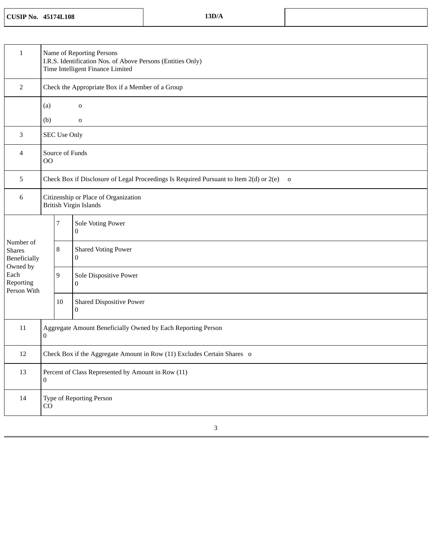**CUSIP No. 45174L108 13D/A**

| $\mathbf{1}$                                                                                      |                                                                         | Name of Reporting Persons<br>I.R.S. Identification Nos. of Above Persons (Entities Only)<br>Time Intelligent Finance Limited |                                                                                          |  |  |
|---------------------------------------------------------------------------------------------------|-------------------------------------------------------------------------|------------------------------------------------------------------------------------------------------------------------------|------------------------------------------------------------------------------------------|--|--|
| 2                                                                                                 |                                                                         |                                                                                                                              | Check the Appropriate Box if a Member of a Group                                         |  |  |
|                                                                                                   | (a)                                                                     |                                                                                                                              | 0                                                                                        |  |  |
|                                                                                                   | (b)                                                                     |                                                                                                                              | $\mathbf 0$                                                                              |  |  |
| 3                                                                                                 |                                                                         | <b>SEC Use Only</b>                                                                                                          |                                                                                          |  |  |
| 4                                                                                                 | 00                                                                      | Source of Funds                                                                                                              |                                                                                          |  |  |
| 5                                                                                                 |                                                                         |                                                                                                                              | Check Box if Disclosure of Legal Proceedings Is Required Pursuant to Item 2(d) or 2(e) o |  |  |
| 6                                                                                                 | Citizenship or Place of Organization<br>British Virgin Islands          |                                                                                                                              |                                                                                          |  |  |
|                                                                                                   |                                                                         | 7                                                                                                                            | Sole Voting Power<br>$\mathbf{0}$                                                        |  |  |
| Number of<br><b>Shares</b><br><b>Beneficially</b><br>Owned by<br>Each<br>Reporting<br>Person With |                                                                         | 8                                                                                                                            | <b>Shared Voting Power</b><br>$\boldsymbol{0}$                                           |  |  |
|                                                                                                   |                                                                         | 9                                                                                                                            | Sole Dispositive Power<br>$\mathbf{0}$                                                   |  |  |
|                                                                                                   |                                                                         | 10                                                                                                                           | <b>Shared Dispositive Power</b><br>0                                                     |  |  |
| 11                                                                                                | Aggregate Amount Beneficially Owned by Each Reporting Person<br>0       |                                                                                                                              |                                                                                          |  |  |
| 12                                                                                                | Check Box if the Aggregate Amount in Row (11) Excludes Certain Shares o |                                                                                                                              |                                                                                          |  |  |
| 13                                                                                                | Percent of Class Represented by Amount in Row (11)<br>$\boldsymbol{0}$  |                                                                                                                              |                                                                                          |  |  |
| 14                                                                                                | Type of Reporting Person<br>CO                                          |                                                                                                                              |                                                                                          |  |  |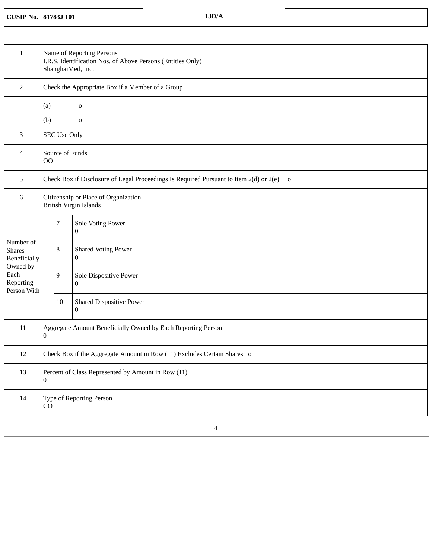**CUSIP No. 81783J 101 13D/A**

| $\mathbf{1}$                                           | Name of Reporting Persons<br>I.R.S. Identification Nos. of Above Persons (Entities Only)<br>ShanghaiMed, Inc. |                     |                                                     |
|--------------------------------------------------------|---------------------------------------------------------------------------------------------------------------|---------------------|-----------------------------------------------------|
| $\overline{2}$                                         |                                                                                                               |                     | Check the Appropriate Box if a Member of a Group    |
|                                                        | (a)                                                                                                           |                     | $\mathbf 0$                                         |
|                                                        | (b)                                                                                                           |                     | $\mathbf 0$                                         |
| 3                                                      |                                                                                                               | <b>SEC Use Only</b> |                                                     |
| 4                                                      | OO                                                                                                            | Source of Funds     |                                                     |
| 5                                                      | Check Box if Disclosure of Legal Proceedings Is Required Pursuant to Item 2(d) or 2(e) o                      |                     |                                                     |
| 6                                                      | Citizenship or Place of Organization<br><b>British Virgin Islands</b>                                         |                     |                                                     |
|                                                        |                                                                                                               | 7                   | Sole Voting Power<br>0                              |
| Number of<br><b>Shares</b><br>Beneficially<br>Owned by |                                                                                                               | 8                   | <b>Shared Voting Power</b><br>$\bf{0}$              |
| Each<br>Reporting<br>Person With                       |                                                                                                               | 9                   | Sole Dispositive Power<br>$\bf{0}$                  |
|                                                        |                                                                                                               | 10                  | <b>Shared Dispositive Power</b><br>$\boldsymbol{0}$ |
| 11                                                     | Aggregate Amount Beneficially Owned by Each Reporting Person<br>0                                             |                     |                                                     |
| 12                                                     | Check Box if the Aggregate Amount in Row (11) Excludes Certain Shares o                                       |                     |                                                     |
| 13                                                     | Percent of Class Represented by Amount in Row (11)<br>0                                                       |                     |                                                     |
| 14                                                     | Type of Reporting Person<br>CO                                                                                |                     |                                                     |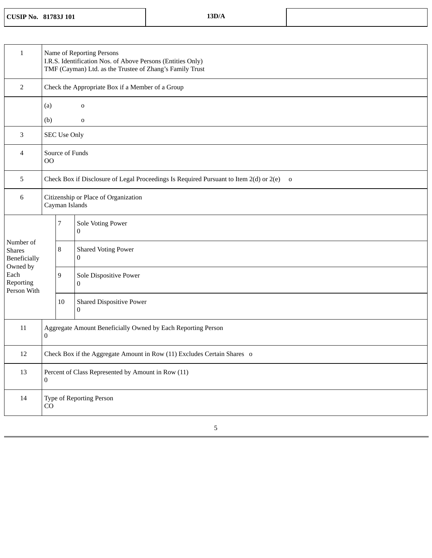|  | <b>CUSIP No. 81783J 101</b> | 13D/A |
|--|-----------------------------|-------|
|--|-----------------------------|-------|

| $\mathbf{1}$                                           | Name of Reporting Persons<br>I.R.S. Identification Nos. of Above Persons (Entities Only)<br>TMF (Cayman) Ltd. as the Trustee of Zhang's Family Trust |                     |                                                  |
|--------------------------------------------------------|------------------------------------------------------------------------------------------------------------------------------------------------------|---------------------|--------------------------------------------------|
| $\overline{2}$                                         |                                                                                                                                                      |                     | Check the Appropriate Box if a Member of a Group |
|                                                        | (a)                                                                                                                                                  |                     | $\mathbf 0$                                      |
|                                                        | (b)                                                                                                                                                  |                     | $\mathbf 0$                                      |
| 3                                                      |                                                                                                                                                      | <b>SEC Use Only</b> |                                                  |
| 4                                                      | 00                                                                                                                                                   | Source of Funds     |                                                  |
| $5\phantom{.0}$                                        | Check Box if Disclosure of Legal Proceedings Is Required Pursuant to Item 2(d) or 2(e)<br>$\overline{\mathbf{O}}$                                    |                     |                                                  |
| 6                                                      | Citizenship or Place of Organization<br>Cayman Islands                                                                                               |                     |                                                  |
|                                                        |                                                                                                                                                      | 7                   | Sole Voting Power<br>0                           |
| Number of<br><b>Shares</b><br>Beneficially<br>Owned by |                                                                                                                                                      | 8                   | <b>Shared Voting Power</b><br>0                  |
| Each<br>Reporting<br>Person With                       |                                                                                                                                                      | 9                   | Sole Dispositive Power<br>0                      |
|                                                        |                                                                                                                                                      | 10                  | <b>Shared Dispositive Power</b><br>0             |
| 11                                                     | Aggregate Amount Beneficially Owned by Each Reporting Person<br>0                                                                                    |                     |                                                  |
| 12                                                     | Check Box if the Aggregate Amount in Row (11) Excludes Certain Shares o                                                                              |                     |                                                  |
| 13                                                     | Percent of Class Represented by Amount in Row (11)<br>$\overline{0}$                                                                                 |                     |                                                  |
| 14                                                     | Type of Reporting Person<br>CO                                                                                                                       |                     |                                                  |
|                                                        |                                                                                                                                                      |                     |                                                  |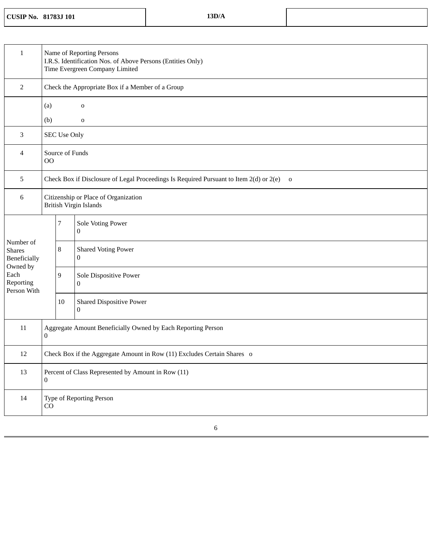**CUSIP No. 81783J 101 13D/A**

| $\mathbf{1}$                                           | Name of Reporting Persons<br>I.R.S. Identification Nos. of Above Persons (Entities Only)<br>Time Evergreen Company Limited |                     |                                                  |
|--------------------------------------------------------|----------------------------------------------------------------------------------------------------------------------------|---------------------|--------------------------------------------------|
| $\overline{2}$                                         |                                                                                                                            |                     | Check the Appropriate Box if a Member of a Group |
|                                                        | (a)                                                                                                                        |                     | $\mathbf 0$                                      |
|                                                        | (b)                                                                                                                        |                     | o                                                |
| 3                                                      |                                                                                                                            | <b>SEC Use Only</b> |                                                  |
| 4                                                      | O <sub>O</sub>                                                                                                             | Source of Funds     |                                                  |
| 5                                                      | Check Box if Disclosure of Legal Proceedings Is Required Pursuant to Item 2(d) or 2(e)<br>$\mathbf{o}$                     |                     |                                                  |
| 6                                                      | Citizenship or Place of Organization<br><b>British Virgin Islands</b>                                                      |                     |                                                  |
|                                                        |                                                                                                                            | $\overline{7}$      | Sole Voting Power<br>0                           |
| Number of<br><b>Shares</b><br>Beneficially<br>Owned by |                                                                                                                            | 8                   | <b>Shared Voting Power</b><br>0                  |
| Each<br>Reporting<br>Person With                       |                                                                                                                            | 9                   | Sole Dispositive Power<br>0                      |
|                                                        |                                                                                                                            | 10                  | <b>Shared Dispositive Power</b><br>0             |
| 11                                                     | Aggregate Amount Beneficially Owned by Each Reporting Person<br>0                                                          |                     |                                                  |
| 12                                                     | Check Box if the Aggregate Amount in Row (11) Excludes Certain Shares o                                                    |                     |                                                  |
| 13                                                     | Percent of Class Represented by Amount in Row (11)<br>$\boldsymbol{0}$                                                     |                     |                                                  |
| 14                                                     | Type of Reporting Person<br>CO                                                                                             |                     |                                                  |
|                                                        |                                                                                                                            |                     |                                                  |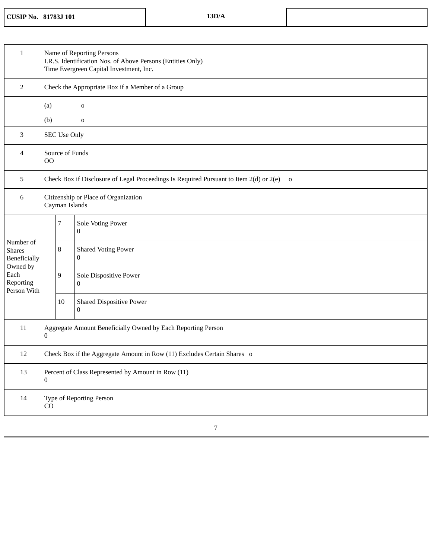|  | <b>CUSIP No. 81783J 101</b> | 13D/A |
|--|-----------------------------|-------|
|--|-----------------------------|-------|

| $\mathbf{1}$                                           | Name of Reporting Persons<br>I.R.S. Identification Nos. of Above Persons (Entities Only)<br>Time Evergreen Capital Investment, Inc. |                            |                                                  |  |  |  |
|--------------------------------------------------------|-------------------------------------------------------------------------------------------------------------------------------------|----------------------------|--------------------------------------------------|--|--|--|
| $\overline{2}$                                         |                                                                                                                                     |                            | Check the Appropriate Box if a Member of a Group |  |  |  |
|                                                        | (a)<br>(b)                                                                                                                          | $\mathbf 0$<br>$\mathbf 0$ |                                                  |  |  |  |
| 3                                                      |                                                                                                                                     | <b>SEC Use Only</b>        |                                                  |  |  |  |
| 4                                                      | 00                                                                                                                                  | Source of Funds            |                                                  |  |  |  |
| 5                                                      | Check Box if Disclosure of Legal Proceedings Is Required Pursuant to Item 2(d) or 2(e)<br>$\overline{0}$                            |                            |                                                  |  |  |  |
| 6                                                      | Citizenship or Place of Organization<br>Cayman Islands                                                                              |                            |                                                  |  |  |  |
|                                                        |                                                                                                                                     | 7                          | Sole Voting Power<br>0                           |  |  |  |
| Number of<br><b>Shares</b><br>Beneficially<br>Owned by |                                                                                                                                     | 8                          | <b>Shared Voting Power</b><br>0                  |  |  |  |
| Each<br>Reporting<br>Person With                       |                                                                                                                                     | 9                          | Sole Dispositive Power<br>$\bf{0}$               |  |  |  |
|                                                        |                                                                                                                                     | 10                         | <b>Shared Dispositive Power</b><br>$\bf{0}$      |  |  |  |
| 11                                                     | Aggregate Amount Beneficially Owned by Each Reporting Person<br>$\boldsymbol{0}$                                                    |                            |                                                  |  |  |  |
| 12                                                     | Check Box if the Aggregate Amount in Row (11) Excludes Certain Shares o                                                             |                            |                                                  |  |  |  |
| 13                                                     | Percent of Class Represented by Amount in Row (11)<br>0                                                                             |                            |                                                  |  |  |  |
| 14                                                     | Type of Reporting Person<br>CO                                                                                                      |                            |                                                  |  |  |  |
|                                                        |                                                                                                                                     |                            |                                                  |  |  |  |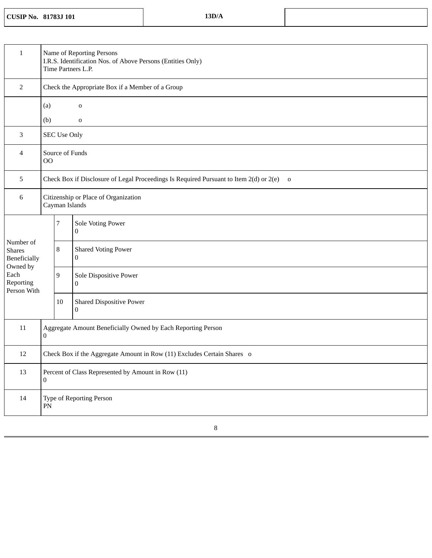**CUSIP No. 81783J 101 13D/A**

| $\mathbf{1}$                                           | Name of Reporting Persons<br>I.R.S. Identification Nos. of Above Persons (Entities Only)<br>Time Partners L.P. |                     |                                                  |  |
|--------------------------------------------------------|----------------------------------------------------------------------------------------------------------------|---------------------|--------------------------------------------------|--|
| 2                                                      |                                                                                                                |                     | Check the Appropriate Box if a Member of a Group |  |
|                                                        | (a)<br>$\mathbf 0$<br>(b)<br>$\mathbf 0$                                                                       |                     |                                                  |  |
| 3                                                      |                                                                                                                | <b>SEC Use Only</b> |                                                  |  |
| 4                                                      | OO                                                                                                             | Source of Funds     |                                                  |  |
| 5                                                      | Check Box if Disclosure of Legal Proceedings Is Required Pursuant to Item 2(d) or 2(e) o                       |                     |                                                  |  |
| 6                                                      | Citizenship or Place of Organization<br>Cayman Islands                                                         |                     |                                                  |  |
|                                                        |                                                                                                                | 7                   | Sole Voting Power<br>$\boldsymbol{0}$            |  |
| Number of<br><b>Shares</b><br>Beneficially<br>Owned by |                                                                                                                | 8                   | <b>Shared Voting Power</b><br>0                  |  |
| Each<br>Reporting<br>Person With                       |                                                                                                                | 9                   | Sole Dispositive Power<br>0                      |  |
|                                                        |                                                                                                                | 10                  | <b>Shared Dispositive Power</b><br>0             |  |
| 11                                                     | Aggregate Amount Beneficially Owned by Each Reporting Person<br>0                                              |                     |                                                  |  |
| 12                                                     | Check Box if the Aggregate Amount in Row (11) Excludes Certain Shares o                                        |                     |                                                  |  |
| 13                                                     | Percent of Class Represented by Amount in Row (11)<br>0                                                        |                     |                                                  |  |
| 14                                                     | Type of Reporting Person<br>${\rm PN}$                                                                         |                     |                                                  |  |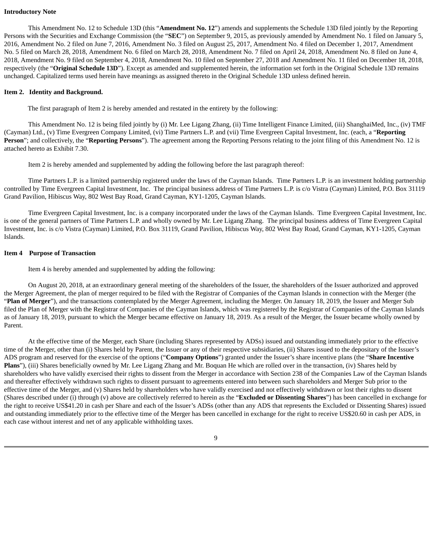#### **Introductory Note**

This Amendment No. 12 to Schedule 13D (this "**Amendment No. 12**") amends and supplements the Schedule 13D filed jointly by the Reporting Persons with the Securities and Exchange Commission (the "**SEC**") on September 9, 2015, as previously amended by Amendment No. 1 filed on January 5, 2016, Amendment No. 2 filed on June 7, 2016, Amendment No. 3 filed on August 25, 2017, Amendment No. 4 filed on December 1, 2017, Amendment No. 5 filed on March 28, 2018, Amendment No. 6 filed on March 28, 2018, Amendment No. 7 filed on April 24, 2018, Amendment No. 8 filed on June 4, 2018, Amendment No. 9 filed on September 4, 2018, Amendment No. 10 filed on September 27, 2018 and Amendment No. 11 filed on December 18, 2018, respectively (the "**Original Schedule 13D**"). Except as amended and supplemented herein, the information set forth in the Original Schedule 13D remains unchanged. Capitalized terms used herein have meanings as assigned thereto in the Original Schedule 13D unless defined herein.

#### **Item 2. Identity and Background.**

The first paragraph of Item 2 is hereby amended and restated in the entirety by the following:

This Amendment No. 12 is being filed jointly by (i) Mr. Lee Ligang Zhang, (ii) Time Intelligent Finance Limited, (iii) ShanghaiMed, Inc., (iv) TMF (Cayman) Ltd., (v) Time Evergreen Company Limited, (vi) Time Partners L.P. and (vii) Time Evergreen Capital Investment, Inc. (each, a "**Reporting Person**"; and collectively, the "**Reporting Persons**"). The agreement among the Reporting Persons relating to the joint filing of this Amendment No. 12 is attached hereto as Exhibit 7.30.

Item 2 is hereby amended and supplemented by adding the following before the last paragraph thereof:

Time Partners L.P. is a limited partnership registered under the laws of the Cayman Islands. Time Partners L.P. is an investment holding partnership controlled by Time Evergreen Capital Investment, Inc. The principal business address of Time Partners L.P. is c/o Vistra (Cayman) Limited, P.O. Box 31119 Grand Pavilion, Hibiscus Way, 802 West Bay Road, Grand Cayman, KY1-1205, Cayman Islands.

Time Evergreen Capital Investment, Inc. is a company incorporated under the laws of the Cayman Islands. Time Evergreen Capital Investment, Inc. is one of the general partners of Time Partners L.P. and wholly owned by Mr. Lee Ligang Zhang. The principal business address of Time Evergreen Capital Investment, Inc. is c/o Vistra (Cayman) Limited, P.O. Box 31119, Grand Pavilion, Hibiscus Way, 802 West Bay Road, Grand Cayman, KY1-1205, Cayman Islands.

#### **Item 4 Purpose of Transaction**

Item 4 is hereby amended and supplemented by adding the following:

On August 20, 2018, at an extraordinary general meeting of the shareholders of the Issuer, the shareholders of the Issuer authorized and approved the Merger Agreement, the plan of merger required to be filed with the Registrar of Companies of the Cayman Islands in connection with the Merger (the "**Plan of Merger**"), and the transactions contemplated by the Merger Agreement, including the Merger. On January 18, 2019, the Issuer and Merger Sub filed the Plan of Merger with the Registrar of Companies of the Cayman Islands, which was registered by the Registrar of Companies of the Cayman Islands as of January 18, 2019, pursuant to which the Merger became effective on January 18, 2019. As a result of the Merger, the Issuer became wholly owned by Parent.

At the effective time of the Merger, each Share (including Shares represented by ADSs) issued and outstanding immediately prior to the effective time of the Merger, other than (i) Shares held by Parent, the Issuer or any of their respective subsidiaries, (ii) Shares issued to the depositary of the Issuer's ADS program and reserved for the exercise of the options ("**Company Options**") granted under the Issuer's share incentive plans (the "**Share Incentive Plans**"), (iii) Shares beneficially owned by Mr. Lee Ligang Zhang and Mr. Boquan He which are rolled over in the transaction, (iv) Shares held by shareholders who have validly exercised their rights to dissent from the Merger in accordance with Section 238 of the Companies Law of the Cayman Islands and thereafter effectively withdrawn such rights to dissent pursuant to agreements entered into between such shareholders and Merger Sub prior to the effective time of the Merger, and (v) Shares held by shareholders who have validly exercised and not effectively withdrawn or lost their rights to dissent (Shares described under (i) through (v) above are collectively referred to herein as the "**Excluded or Dissenting Shares**") has been cancelled in exchange for the right to receive US\$41.20 in cash per Share and each of the Issuer's ADSs (other than any ADS that represents the Excluded or Dissenting Shares) issued and outstanding immediately prior to the effective time of the Merger has been cancelled in exchange for the right to receive US\$20.60 in cash per ADS, in each case without interest and net of any applicable withholding taxes.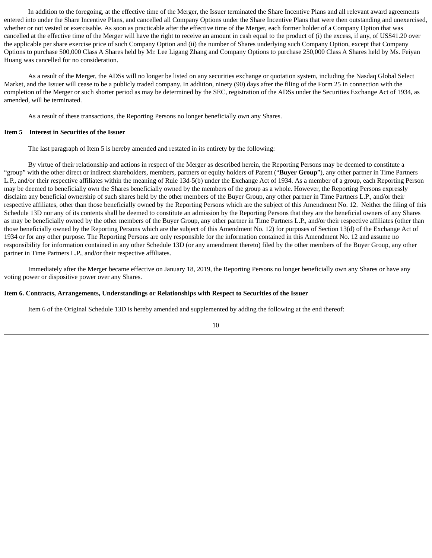In addition to the foregoing, at the effective time of the Merger, the Issuer terminated the Share Incentive Plans and all relevant award agreements entered into under the Share Incentive Plans, and cancelled all Company Options under the Share Incentive Plans that were then outstanding and unexercised, whether or not vested or exercisable. As soon as practicable after the effective time of the Merger, each former holder of a Company Option that was cancelled at the effective time of the Merger will have the right to receive an amount in cash equal to the product of (i) the excess, if any, of US\$41.20 over the applicable per share exercise price of such Company Option and (ii) the number of Shares underlying such Company Option, except that Company Options to purchase 500,000 Class A Shares held by Mr. Lee Ligang Zhang and Company Options to purchase 250,000 Class A Shares held by Ms. Feiyan Huang was cancelled for no consideration.

As a result of the Merger, the ADSs will no longer be listed on any securities exchange or quotation system, including the Nasdaq Global Select Market, and the Issuer will cease to be a publicly traded company. In addition, ninety (90) days after the filing of the Form 25 in connection with the completion of the Merger or such shorter period as may be determined by the SEC, registration of the ADSs under the Securities Exchange Act of 1934, as amended, will be terminated.

As a result of these transactions, the Reporting Persons no longer beneficially own any Shares.

#### **Item 5 Interest in Securities of the Issuer**

The last paragraph of Item 5 is hereby amended and restated in its entirety by the following:

By virtue of their relationship and actions in respect of the Merger as described herein, the Reporting Persons may be deemed to constitute a "group" with the other direct or indirect shareholders, members, partners or equity holders of Parent ("**Buyer Group**"), any other partner in Time Partners L.P., and/or their respective affiliates within the meaning of Rule 13d-5(b) under the Exchange Act of 1934. As a member of a group, each Reporting Person may be deemed to beneficially own the Shares beneficially owned by the members of the group as a whole. However, the Reporting Persons expressly disclaim any beneficial ownership of such shares held by the other members of the Buyer Group, any other partner in Time Partners L.P., and/or their respective affiliates, other than those beneficially owned by the Reporting Persons which are the subject of this Amendment No. 12. Neither the filing of this Schedule 13D nor any of its contents shall be deemed to constitute an admission by the Reporting Persons that they are the beneficial owners of any Shares as may be beneficially owned by the other members of the Buyer Group, any other partner in Time Partners L.P., and/or their respective affiliates (other than those beneficially owned by the Reporting Persons which are the subject of this Amendment No. 12) for purposes of Section 13(d) of the Exchange Act of 1934 or for any other purpose. The Reporting Persons are only responsible for the information contained in this Amendment No. 12 and assume no responsibility for information contained in any other Schedule 13D (or any amendment thereto) filed by the other members of the Buyer Group, any other partner in Time Partners L.P., and/or their respective affiliates.

Immediately after the Merger became effective on January 18, 2019, the Reporting Persons no longer beneficially own any Shares or have any voting power or dispositive power over any Shares.

#### **Item 6. Contracts, Arrangements, Understandings or Relationships with Respect to Securities of the Issuer**

Item 6 of the Original Schedule 13D is hereby amended and supplemented by adding the following at the end thereof: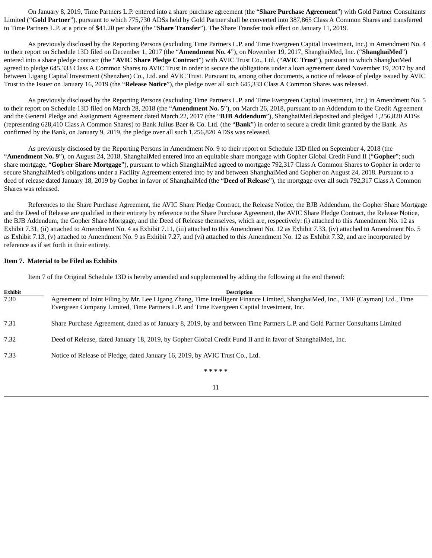On January 8, 2019, Time Partners L.P. entered into a share purchase agreement (the "**Share Purchase Agreement**") with Gold Partner Consultants Limited ("**Gold Partner**"), pursuant to which 775,730 ADSs held by Gold Partner shall be converted into 387,865 Class A Common Shares and transferred to Time Partners L.P. at a price of \$41.20 per share (the "**Share Transfer**"). The Share Transfer took effect on January 11, 2019.

As previously disclosed by the Reporting Persons (excluding Time Partners L.P. and Time Evergreen Capital Investment, Inc.) in Amendment No. 4 to their report on Schedule 13D filed on December 1, 2017 (the "**Amendment No. 4**"), on November 19, 2017, ShanghaiMed, Inc. ("**ShanghaiMed**") entered into a share pledge contract (the "**AVIC Share Pledge Contract**") with AVIC Trust Co., Ltd. ("**AVIC Trust**"), pursuant to which ShanghaiMed agreed to pledge 645,333 Class A Common Shares to AVIC Trust in order to secure the obligations under a loan agreement dated November 19, 2017 by and between Ligang Capital Investment (Shenzhen) Co., Ltd. and AVIC Trust. Pursuant to, among other documents, a notice of release of pledge issued by AVIC Trust to the Issuer on January 16, 2019 (the "**Release Notice**"), the pledge over all such 645,333 Class A Common Shares was released.

As previously disclosed by the Reporting Persons (excluding Time Partners L.P. and Time Evergreen Capital Investment, Inc.) in Amendment No. 5 to their report on Schedule 13D filed on March 28, 2018 (the "**Amendment No. 5**"), on March 26, 2018, pursuant to an Addendum to the Credit Agreement and the General Pledge and Assignment Agreement dated March 22, 2017 (the "**BJB Addendum**"), ShanghaiMed deposited and pledged 1,256,820 ADSs (representing 628,410 Class A Common Shares) to Bank Julius Baer & Co. Ltd. (the "**Bank**") in order to secure a credit limit granted by the Bank. As confirmed by the Bank, on January 9, 2019, the pledge over all such 1,256,820 ADSs was released.

As previously disclosed by the Reporting Persons in Amendment No. 9 to their report on Schedule 13D filed on September 4, 2018 (the "**Amendment No. 9**"), on August 24, 2018, ShanghaiMed entered into an equitable share mortgage with Gopher Global Credit Fund II ("**Gopher**"; such share mortgage, "**Gopher Share Mortgage**"), pursuant to which ShanghaiMed agreed to mortgage 792,317 Class A Common Shares to Gopher in order to secure ShanghaiMed's obligations under a Facility Agreement entered into by and between ShanghaiMed and Gopher on August 24, 2018. Pursuant to a deed of release dated January 18, 2019 by Gopher in favor of ShanghaiMed (the "**Deed of Release**"), the mortgage over all such 792,317 Class A Common Shares was released.

References to the Share Purchase Agreement, the AVIC Share Pledge Contract, the Release Notice, the BJB Addendum, the Gopher Share Mortgage and the Deed of Release are qualified in their entirety by reference to the Share Purchase Agreement, the AVIC Share Pledge Contract, the Release Notice, the BJB Addendum, the Gopher Share Mortgage, and the Deed of Release themselves, which are, respectively: (i) attached to this Amendment No. 12 as Exhibit 7.31, (ii) attached to Amendment No. 4 as Exhibit 7.11, (iii) attached to this Amendment No. 12 as Exhibit 7.33, (iv) attached to Amendment No. 5 as Exhibit 7.13, (v) attached to Amendment No. 9 as Exhibit 7.27, and (vi) attached to this Amendment No. 12 as Exhibit 7.32, and are incorporated by reference as if set forth in their entirety.

#### **Item 7. Material to be Filed as Exhibits**

Item 7 of the Original Schedule 13D is hereby amended and supplemented by adding the following at the end thereof:

| Exhibit | <b>Description</b>                                                                                                              |
|---------|---------------------------------------------------------------------------------------------------------------------------------|
| 7.30    | Agreement of Joint Filing by Mr. Lee Ligang Zhang, Time Intelligent Finance Limited, ShanghaiMed, Inc., TMF (Cayman) Ltd., Time |
|         | Evergreen Company Limited, Time Partners L.P. and Time Evergreen Capital Investment, Inc.                                       |
|         |                                                                                                                                 |
| 7.31    | Share Purchase Agreement, dated as of January 8, 2019, by and between Time Partners L.P. and Gold Partner Consultants Limited   |
|         |                                                                                                                                 |
| 7.32    | Deed of Release, dated January 18, 2019, by Gopher Global Credit Fund II and in favor of ShanghaiMed, Inc.                      |
| 7.33    | Notice of Release of Pledge, dated January 16, 2019, by AVIC Trust Co., Ltd.                                                    |
|         |                                                                                                                                 |
|         |                                                                                                                                 |

**\* \* \* \* \*** 11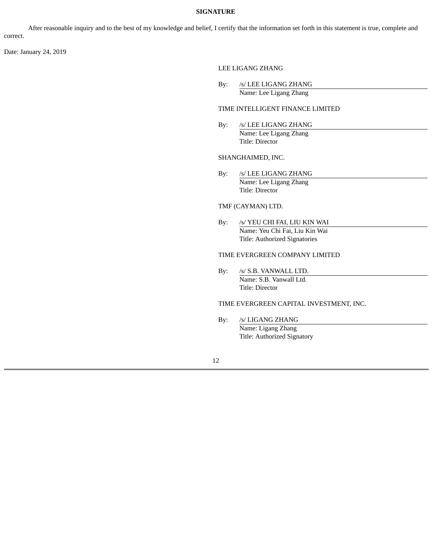## **SIGNATURE**

After reasonable inquiry and to the best of my knowledge and belief, I certify that the information set forth in this statement is true, complete and correct.

Date: January 24, 2019

## LEE LIGANG ZHANG

| Bv: | /s/ LEE LIGANG ZHANG   |  |
|-----|------------------------|--|
|     | Name: Lee Ligang Zhang |  |

## TIME INTELLIGENT FINANCE LIMITED

By: /s/ LEE LIGANG ZHANG Name: Lee Ligang Zhang Title: Director

#### SHANGHAIMED, INC.

By: /s/ LEE LIGANG ZHANG Name: Lee Ligang Zhang Title: Director

## TMF (CAYMAN) LTD.

By: /s/ YEU CHI FAI, LIU KIN WAI Name: Yeu Chi Fai, Liu Kin Wai Title: Authorized Signatories

### TIME EVERGREEN COMPANY LIMITED

By: /s/ S.B. VANWALL LTD. Name: S.B. Vanwall Ltd. Title: Director

### TIME EVERGREEN CAPITAL INVESTMENT, INC.

By: /s/ LIGANG ZHANG Name: Ligang Zhang Title: Authorized Signatory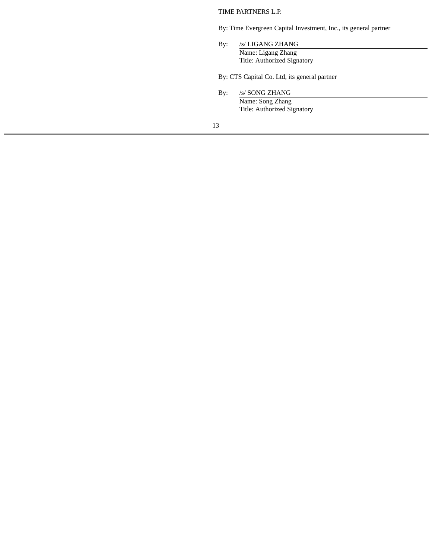TIME PARTNERS L.P.

By: Time Evergreen Capital Investment, Inc., its general partner

By: /s/ LIGANG ZHANG Name: Ligang Zhang Title: Authorized Signatory

By: CTS Capital Co. Ltd, its general partner

By: /s/ SONG ZHANG Name: Song Zhang Title: Authorized Signatory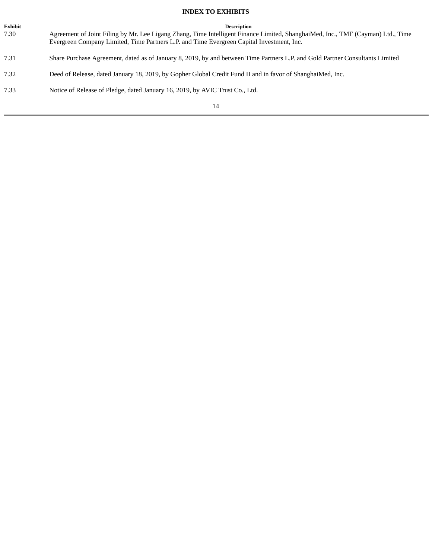## **INDEX TO EXHIBITS**

J.

| Exhibit | <b>Description</b>                                                                                                              |
|---------|---------------------------------------------------------------------------------------------------------------------------------|
| 7.30    | Agreement of Joint Filing by Mr. Lee Ligang Zhang, Time Intelligent Finance Limited, ShanghaiMed, Inc., TMF (Cayman) Ltd., Time |
|         | Evergreen Company Limited, Time Partners L.P. and Time Evergreen Capital Investment, Inc.                                       |
|         |                                                                                                                                 |
| 7.31    | Share Purchase Agreement, dated as of January 8, 2019, by and between Time Partners L.P. and Gold Partner Consultants Limited   |
| 7.32    | Deed of Release, dated January 18, 2019, by Gopher Global Credit Fund II and in favor of ShanghaiMed, Inc.                      |
|         |                                                                                                                                 |
| 7.33    | Notice of Release of Pledge, dated January 16, 2019, by AVIC Trust Co., Ltd.                                                    |
|         |                                                                                                                                 |
|         | 14                                                                                                                              |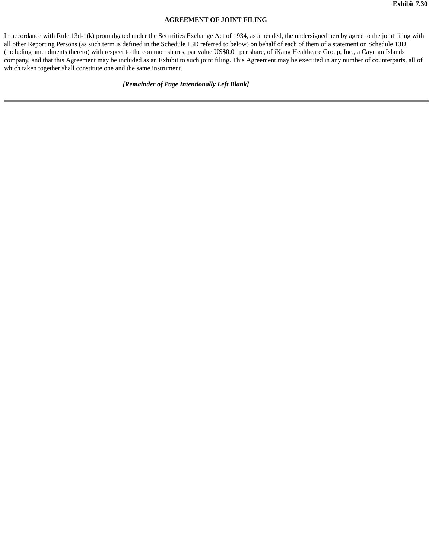## **AGREEMENT OF JOINT FILING**

In accordance with Rule 13d-1(k) promulgated under the Securities Exchange Act of 1934, as amended, the undersigned hereby agree to the joint filing with all other Reporting Persons (as such term is defined in the Schedule 13D referred to below) on behalf of each of them of a statement on Schedule 13D (including amendments thereto) with respect to the common shares, par value US\$0.01 per share, of iKang Healthcare Group, Inc., a Cayman Islands company, and that this Agreement may be included as an Exhibit to such joint filing. This Agreement may be executed in any number of counterparts, all of which taken together shall constitute one and the same instrument.

## *[Remainder of Page Intentionally Left Blank]*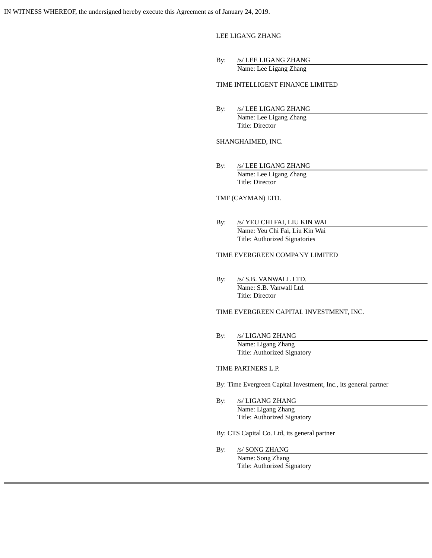LEE LIGANG ZHANG

By: /s/ LEE LIGANG ZHANG Name: Lee Ligang Zhang

TIME INTELLIGENT FINANCE LIMITED

By: /s/ LEE LIGANG ZHANG Name: Lee Ligang Zhang Title: Director

#### SHANGHAIMED, INC.

By: /s/ LEE LIGANG ZHANG Name: Lee Ligang Zhang Title: Director

## TMF (CAYMAN) LTD.

By: /s/ YEU CHI FAI, LIU KIN WAI Name: Yeu Chi Fai, Liu Kin Wai Title: Authorized Signatories

## TIME EVERGREEN COMPANY LIMITED

By: /s/ S.B. VANWALL LTD. Name: S.B. Vanwall Ltd. Title: Director

TIME EVERGREEN CAPITAL INVESTMENT, INC.

By: /s/ LIGANG ZHANG Name: Ligang Zhang Title: Authorized Signatory

#### TIME PARTNERS L.P.

By: Time Evergreen Capital Investment, Inc., its general partner

By: /s/ LIGANG ZHANG Name: Ligang Zhang Title: Authorized Signatory

By: CTS Capital Co. Ltd, its general partner

By: /s/ SONG ZHANG Name: Song Zhang Title: Authorized Signatory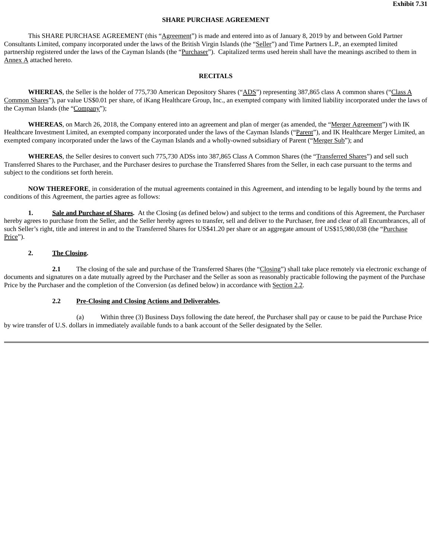## **SHARE PURCHASE AGREEMENT**

This SHARE PURCHASE AGREEMENT (this "Agreement") is made and entered into as of January 8, 2019 by and between Gold Partner Consultants Limited, company incorporated under the laws of the British Virgin Islands (the "Seller") and Time Partners L.P., an exempted limited partnership registered under the laws of the Cayman Islands (the "Purchaser"). Capitalized terms used herein shall have the meanings ascribed to them in Annex A attached hereto.

#### **RECITALS**

WHEREAS, the Seller is the holder of 775,730 American Depository Shares ("ADS") representing 387,865 class A common shares ("Class A Common Shares"), par value US\$0.01 per share, of iKang Healthcare Group, Inc., an exempted company with limited liability incorporated under the laws of the Cayman Islands (the "Company");

**WHEREAS**, on March 26, 2018, the Company entered into an agreement and plan of merger (as amended, the "Merger Agreement") with IK Healthcare Investment Limited, an exempted company incorporated under the laws of the Cayman Islands ("Parent"), and IK Healthcare Merger Limited, an exempted company incorporated under the laws of the Cayman Islands and a wholly-owned subsidiary of Parent ("Merger Sub"); and

**WHEREAS**, the Seller desires to convert such 775,730 ADSs into 387,865 Class A Common Shares (the "Transferred Shares") and sell such Transferred Shares to the Purchaser, and the Purchaser desires to purchase the Transferred Shares from the Seller, in each case pursuant to the terms and subject to the conditions set forth herein.

**NOW THEREFORE**, in consideration of the mutual agreements contained in this Agreement, and intending to be legally bound by the terms and conditions of this Agreement, the parties agree as follows:

**1. Sale and Purchase of Shares.** At the Closing (as defined below) and subject to the terms and conditions of this Agreement, the Purchaser hereby agrees to purchase from the Seller, and the Seller hereby agrees to transfer, sell and deliver to the Purchaser, free and clear of all Encumbrances, all of such Seller's right, title and interest in and to the Transferred Shares for US\$41.20 per share or an aggregate amount of US\$15,980,038 (the "Purchase Price").

## **2. The Closing.**

**2.1** The closing of the sale and purchase of the Transferred Shares (the "Closing") shall take place remotely via electronic exchange of documents and signatures on a date mutually agreed by the Purchaser and the Seller as soon as reasonably practicable following the payment of the Purchase Price by the Purchaser and the completion of the Conversion (as defined below) in accordance with Section 2.2.

#### **2.2 Pre-Closing and Closing Actions and Deliverables.**

(a) Within three (3) Business Days following the date hereof, the Purchaser shall pay or cause to be paid the Purchase Price by wire transfer of U.S. dollars in immediately available funds to a bank account of the Seller designated by the Seller.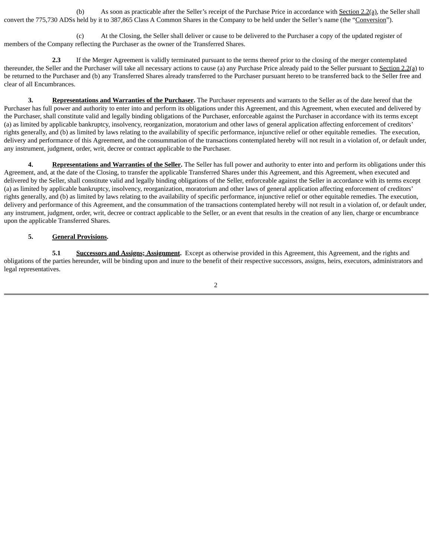(b) As soon as practicable after the Seller's receipt of the Purchase Price in accordance with Section 2.2(a), the Seller shall convert the 775,730 ADSs held by it to 387,865 Class A Common Shares in the Company to be held under the Seller's name (the "Conversion").

(c) At the Closing, the Seller shall deliver or cause to be delivered to the Purchaser a copy of the updated register of members of the Company reflecting the Purchaser as the owner of the Transferred Shares.

**2.3** If the Merger Agreement is validly terminated pursuant to the terms thereof prior to the closing of the merger contemplated thereunder, the Seller and the Purchaser will take all necessary actions to cause (a) any Purchase Price already paid to the Seller pursuant to Section 2.2(a) to be returned to the Purchaser and (b) any Transferred Shares already transferred to the Purchaser pursuant hereto to be transferred back to the Seller free and clear of all Encumbrances.

**3. Representations and Warranties of the Purchaser.** The Purchaser represents and warrants to the Seller as of the date hereof that the Purchaser has full power and authority to enter into and perform its obligations under this Agreement, and this Agreement, when executed and delivered by the Purchaser, shall constitute valid and legally binding obligations of the Purchaser, enforceable against the Purchaser in accordance with its terms except (a) as limited by applicable bankruptcy, insolvency, reorganization, moratorium and other laws of general application affecting enforcement of creditors' rights generally, and (b) as limited by laws relating to the availability of specific performance, injunctive relief or other equitable remedies. The execution, delivery and performance of this Agreement, and the consummation of the transactions contemplated hereby will not result in a violation of, or default under, any instrument, judgment, order, writ, decree or contract applicable to the Purchaser.

**4. Representations and Warranties of the Seller.** The Seller has full power and authority to enter into and perform its obligations under this Agreement, and, at the date of the Closing, to transfer the applicable Transferred Shares under this Agreement, and this Agreement, when executed and delivered by the Seller, shall constitute valid and legally binding obligations of the Seller, enforceable against the Seller in accordance with its terms except (a) as limited by applicable bankruptcy, insolvency, reorganization, moratorium and other laws of general application affecting enforcement of creditors' rights generally, and (b) as limited by laws relating to the availability of specific performance, injunctive relief or other equitable remedies. The execution, delivery and performance of this Agreement, and the consummation of the transactions contemplated hereby will not result in a violation of, or default under, any instrument, judgment, order, writ, decree or contract applicable to the Seller, or an event that results in the creation of any lien, charge or encumbrance upon the applicable Transferred Shares.

## **5. General Provisions.**

**5.1 Successors and Assigns; Assignment.** Except as otherwise provided in this Agreement, this Agreement, and the rights and obligations of the parties hereunder, will be binding upon and inure to the benefit of their respective successors, assigns, heirs, executors, administrators and legal representatives.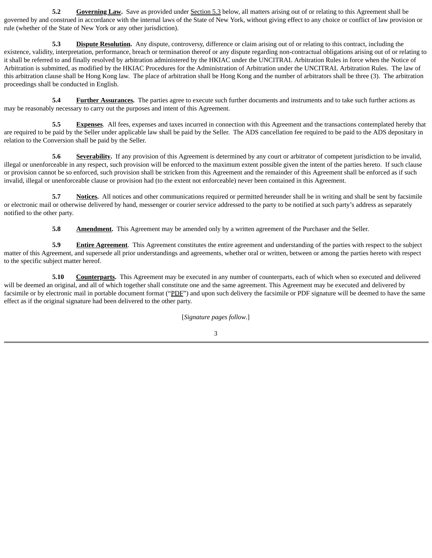**5.2 Governing Law.** Save as provided under **Section 5.3** below, all matters arising out of or relating to this Agreement shall be governed by and construed in accordance with the internal laws of the State of New York, without giving effect to any choice or conflict of law provision or rule (whether of the State of New York or any other jurisdiction).

**5.3 Dispute Resolution.** Any dispute, controversy, difference or claim arising out of or relating to this contract, including the existence, validity, interpretation, performance, breach or termination thereof or any dispute regarding non-contractual obligations arising out of or relating to it shall be referred to and finally resolved by arbitration administered by the HKIAC under the UNCITRAL Arbitration Rules in force when the Notice of Arbitration is submitted, as modified by the HKIAC Procedures for the Administration of Arbitration under the UNCITRAL Arbitration Rules. The law of this arbitration clause shall be Hong Kong law. The place of arbitration shall be Hong Kong and the number of arbitrators shall be three (3). The arbitration proceedings shall be conducted in English.

**5.4 Further Assurances.** The parties agree to execute such further documents and instruments and to take such further actions as may be reasonably necessary to carry out the purposes and intent of this Agreement.

**5.5 Expenses**. All fees, expenses and taxes incurred in connection with this Agreement and the transactions contemplated hereby that are required to be paid by the Seller under applicable law shall be paid by the Seller. The ADS cancellation fee required to be paid to the ADS depositary in relation to the Conversion shall be paid by the Seller.

**5.6 Severability.** If any provision of this Agreement is determined by any court or arbitrator of competent jurisdiction to be invalid, illegal or unenforceable in any respect, such provision will be enforced to the maximum extent possible given the intent of the parties hereto. If such clause or provision cannot be so enforced, such provision shall be stricken from this Agreement and the remainder of this Agreement shall be enforced as if such invalid, illegal or unenforceable clause or provision had (to the extent not enforceable) never been contained in this Agreement.

**5.7 Notices.** All notices and other communications required or permitted hereunder shall be in writing and shall be sent by facsimile or electronic mail or otherwise delivered by hand, messenger or courier service addressed to the party to be notified at such party's address as separately notified to the other party.

**5.8 Amendment.** This Agreement may be amended only by a written agreement of the Purchaser and the Seller.

**5.9 Entire Agreement**. This Agreement constitutes the entire agreement and understanding of the parties with respect to the subject matter of this Agreement, and supersede all prior understandings and agreements, whether oral or written, between or among the parties hereto with respect to the specific subject matter hereof.

**5.10 Counterparts.** This Agreement may be executed in any number of counterparts, each of which when so executed and delivered will be deemed an original, and all of which together shall constitute one and the same agreement. This Agreement may be executed and delivered by facsimile or by electronic mail in portable document format ("PDF") and upon such delivery the facsimile or PDF signature will be deemed to have the same effect as if the original signature had been delivered to the other party.

[*Signature pages follow*.]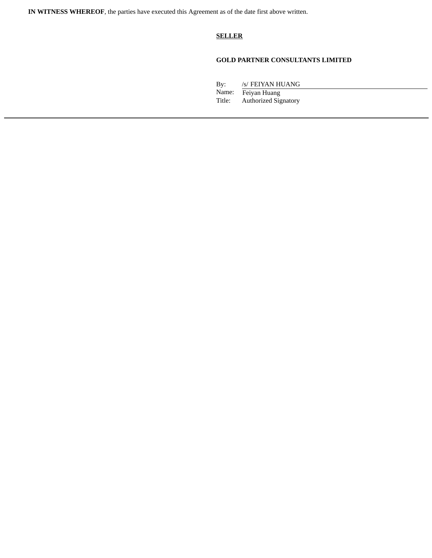**IN WITNESS WHEREOF**, the parties have executed this Agreement as of the date first above written.

## **SELLER**

## **GOLD PARTNER CONSULTANTS LIMITED**

By: /s/ FEIYAN HUANG

Name: Feiyan Huang<br>Title: Authorized Sig Authorized Signatory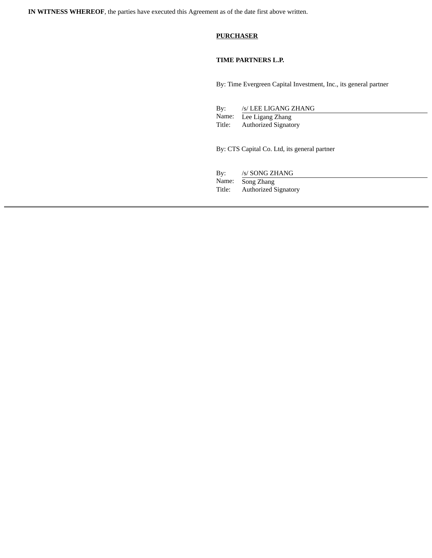**IN WITNESS WHEREOF**, the parties have executed this Agreement as of the date first above written.

## **PURCHASER**

## **TIME PARTNERS L.P.**

By: Time Evergreen Capital Investment, Inc., its general partner

| Bv:    | /s/ LEE LIGANG ZHANG        |
|--------|-----------------------------|
|        | Name: Lee Ligang Zhang      |
| Title: | <b>Authorized Signatory</b> |

By: CTS Capital Co. Ltd, its general partner

By: /s/ SONG ZHANG Name: Song Zhang Title: Authorized Signatory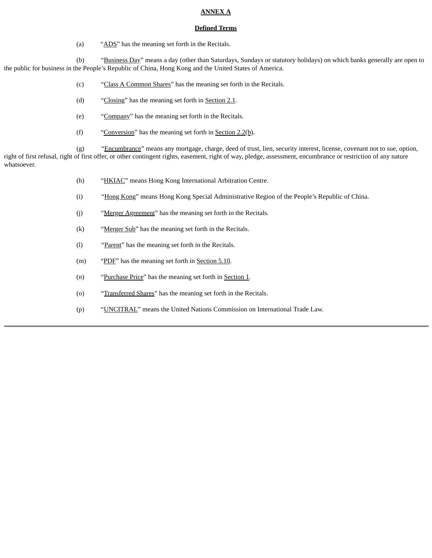## **ANNEX A**

#### **Defined Terms**

(a) "ADS" has the meaning set forth in the Recitals.

(b) "Business Day" means a day (other than Saturdays, Sundays or statutory holidays) on which banks generally are open to the public for business in the People's Republic of China, Hong Kong and the United States of America.

- (c) "Class A Common Shares" has the meaning set forth in the Recitals.
- (d) "Closing" has the meaning set forth in Section 2.1.
- (e) "Company" has the meaning set forth in the Recitals.
- (f) "Conversion" has the meaning set forth in Section  $2.2(b)$ .

(g) "Encumbrance" means any mortgage, charge, deed of trust, lien, security interest, license, covenant not to sue, option, right of first refusal, right of first offer, or other contingent rights, easement, right of way, pledge, assessment, encumbrance or restriction of any nature whatsoever.

- (h) "HKIAC" means Hong Kong International Arbitration Centre.
- (i) "Hong Kong" means Hong Kong Special Administrative Region of the People's Republic of China.
- (j) "Merger Agreement" has the meaning set forth in the Recitals.
- (k) "Merger Sub" has the meaning set forth in the Recitals.
- (l) "Parent" has the meaning set forth in the Recitals.
- (m) "PDF" has the meaning set forth in Section 5.10.
- (n) "Purchase Price" has the meaning set forth in Section 1.
- (o) "Transferred Shares" has the meaning set forth in the Recitals.
- (p) "UNCITRAL" means the United Nations Commission on International Trade Law.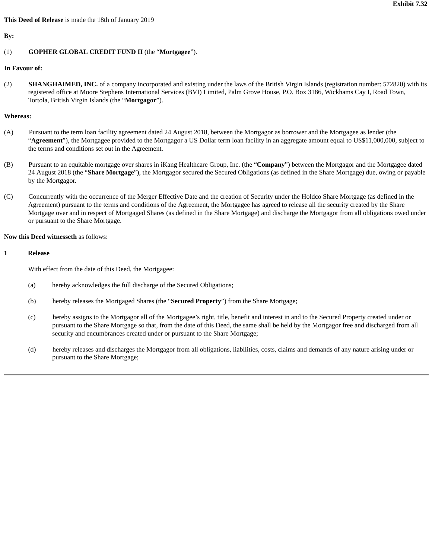#### **This Deed of Release** is made the 18th of January 2019

**By:**

## (1) **GOPHER GLOBAL CREDIT FUND II** (the "**Mortgagee**").

#### **In Favour of:**

(2) **SHANGHAIMED, INC.** of a company incorporated and existing under the laws of the British Virgin Islands (registration number: 572820) with its registered office at Moore Stephens International Services (BVI) Limited, Palm Grove House, P.O. Box 3186, Wickhams Cay I, Road Town, Tortola, British Virgin Islands (the "**Mortgagor**").

#### **Whereas:**

- (A) Pursuant to the term loan facility agreement dated 24 August 2018, between the Mortgagor as borrower and the Mortgagee as lender (the "**Agreement**"), the Mortgagee provided to the Mortgagor a US Dollar term loan facility in an aggregate amount equal to US\$11,000,000, subject to the terms and conditions set out in the Agreement.
- (B) Pursuant to an equitable mortgage over shares in iKang Healthcare Group, Inc. (the "**Company**") between the Mortgagor and the Mortgagee dated 24 August 2018 (the "**Share Mortgage**"), the Mortgagor secured the Secured Obligations (as defined in the Share Mortgage) due, owing or payable by the Mortgagor.
- (C) Concurrently with the occurrence of the Merger Effective Date and the creation of Security under the Holdco Share Mortgage (as defined in the Agreement) pursuant to the terms and conditions of the Agreement, the Mortgagee has agreed to release all the security created by the Share Mortgage over and in respect of Mortgaged Shares (as defined in the Share Mortgage) and discharge the Mortgagor from all obligations owed under or pursuant to the Share Mortgage.

## **Now this Deed witnesseth** as follows:

#### **1 Release**

With effect from the date of this Deed, the Mortgagee:

- (a) hereby acknowledges the full discharge of the Secured Obligations;
- (b) hereby releases the Mortgaged Shares (the "**Secured Property**") from the Share Mortgage;
- (c) hereby assigns to the Mortgagor all of the Mortgagee's right, title, benefit and interest in and to the Secured Property created under or pursuant to the Share Mortgage so that, from the date of this Deed, the same shall be held by the Mortgagor free and discharged from all security and encumbrances created under or pursuant to the Share Mortgage;
- (d) hereby releases and discharges the Mortgagor from all obligations, liabilities, costs, claims and demands of any nature arising under or pursuant to the Share Mortgage;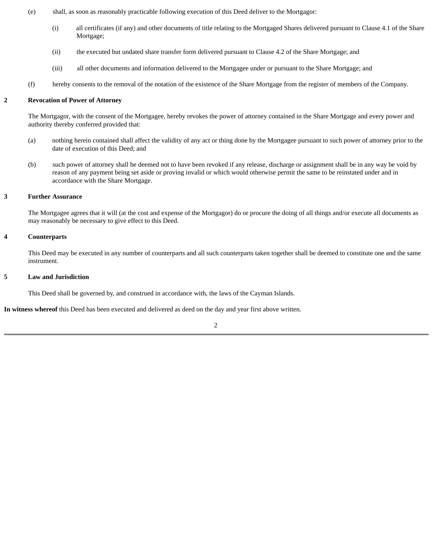- (e) shall, as soon as reasonably practicable following execution of this Deed deliver to the Mortgagor:
	- (i) all certificates (if any) and other documents of title relating to the Mortgaged Shares delivered pursuant to Clause 4.1 of the Share Mortgage;
	- (ii) the executed but undated share transfer form delivered pursuant to Clause 4.2 of the Share Mortgage; and
	- (iii) all other documents and information delivered to the Mortgagee under or pursuant to the Share Mortgage; and
- (f) hereby consents to the removal of the notation of the existence of the Share Mortgage from the register of members of the Company.

### **2 Revocation of Power of Attorney**

The Mortgagor, with the consent of the Mortgagee, hereby revokes the power of attorney contained in the Share Mortgage and every power and authority thereby conferred provided that:

- (a) nothing herein contained shall affect the validity of any act or thing done by the Mortgagee pursuant to such power of attorney prior to the date of execution of this Deed; and
- (b) such power of attorney shall be deemed not to have been revoked if any release, discharge or assignment shall be in any way be void by reason of any payment being set aside or proving invalid or which would otherwise permit the same to be reinstated under and in accordance with the Share Mortgage.

#### **3 Further Assurance**

The Mortgagee agrees that it will (at the cost and expense of the Mortgagor) do or procure the doing of all things and/or execute all documents as may reasonably be necessary to give effect to this Deed.

#### **4 Counterparts**

This Deed may be executed in any number of counterparts and all such counterparts taken together shall be deemed to constitute one and the same instrument.

#### **5 Law and Jurisdiction**

This Deed shall be governed by, and construed in accordance with, the laws of the Cayman Islands.

**In witness whereof** this Deed has been executed and delivered as deed on the day and year first above written.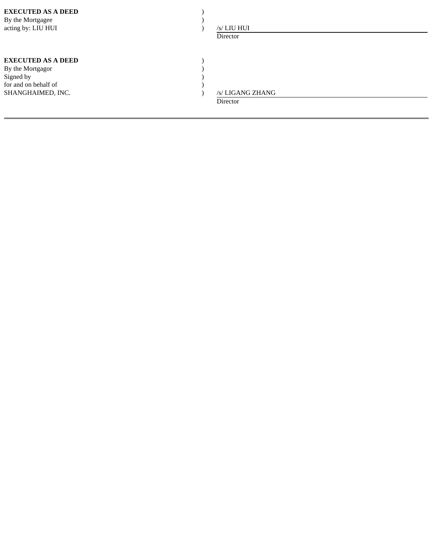| <b>EXECUTED AS A DEED</b><br>By the Mortgagee<br>acting by: LIU HUI                                     | /s/ LIU HUI<br>Director |                  |
|---------------------------------------------------------------------------------------------------------|-------------------------|------------------|
| <b>EXECUTED AS A DEED</b><br>By the Mortgagor<br>Signed by<br>for and on behalf of<br>SHANGHAIMED, INC. | Director                | /s/ LIGANG ZHANG |